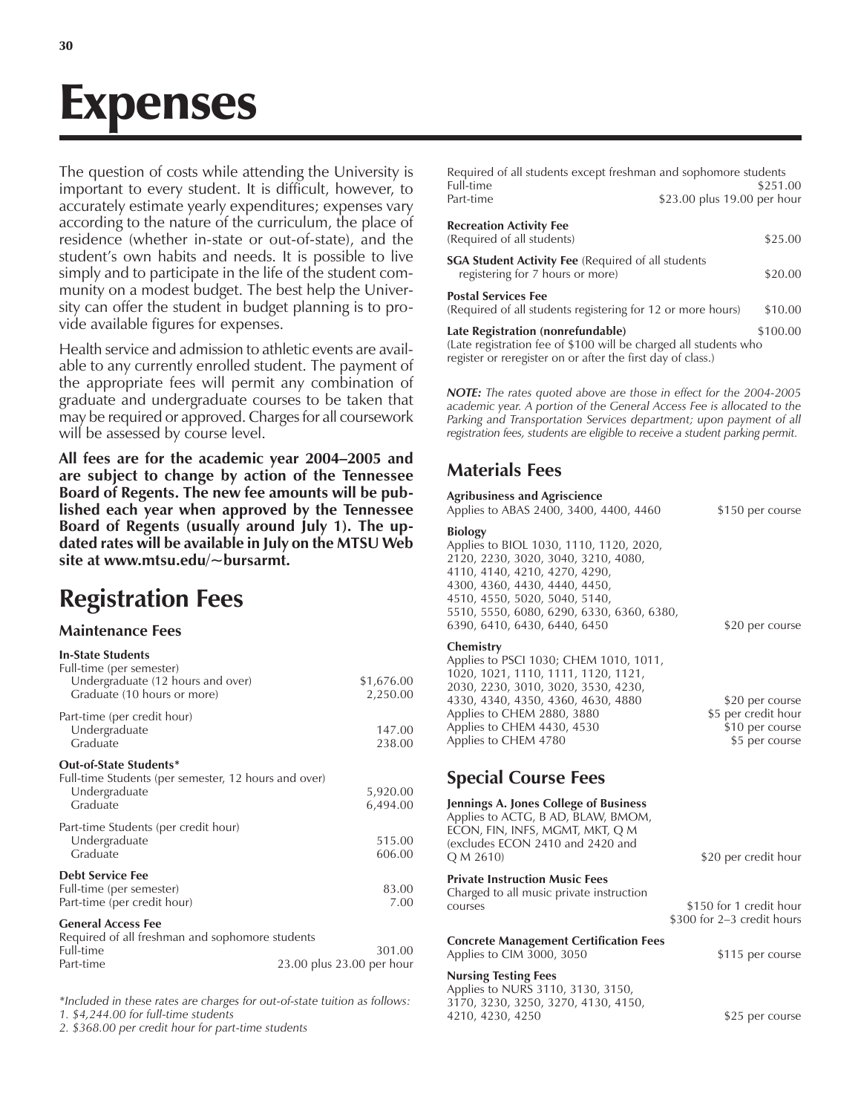# Expenses

The question of costs while attending the University is important to every student. It is difficult, however, to accurately estimate yearly expenditures; expenses vary according to the nature of the curriculum, the place of residence (whether in-state or out-of-state), and the student's own habits and needs. It is possible to live simply and to participate in the life of the student community on a modest budget. The best help the University can offer the student in budget planning is to provide available figures for expenses.

Health service and admission to athletic events are available to any currently enrolled student. The payment of the appropriate fees will permit any combination of graduate and undergraduate courses to be taken that may be required or approved. Charges for all coursework will be assessed by course level.

All fees are for the academic year 2004–2005 and **are subject to change by action of the Tennessee Board of Regents. The new fee amounts will be published each year when approved by the Tennessee Board of Regents (usually around July 1). The updated rates will be available in July on the MTSU Web site at www.mtsu.edu/~bursarmt.**

## **Registration Fees**

#### **Maintenance Fees**

| <b>In-State Students</b><br>Full-time (per semester)                                           |                        |
|------------------------------------------------------------------------------------------------|------------------------|
| Undergraduate (12 hours and over)<br>Graduate (10 hours or more)                               | \$1,676.00<br>2,250.00 |
| Part-time (per credit hour)<br>Undergraduate<br>Graduate                                       | 147.00<br>238.00       |
| Out-of-State Students*<br>Full-time Students (per semester, 12 hours and over)                 |                        |
| Undergraduate<br>Graduate                                                                      | 5,920.00<br>6,494.00   |
| Part-time Students (per credit hour)                                                           |                        |
| Undergraduate                                                                                  | 515.00                 |
| Graduate                                                                                       | 606.00                 |
| <b>Debt Service Fee</b>                                                                        |                        |
| Full-time (per semester)                                                                       | 83.00                  |
| Part-time (per credit hour)                                                                    | 7.00                   |
| <b>General Access Fee</b><br>De envise de el ell facelezzo de la conde caso de caso de la caso |                        |

| Required of all freshman and sophomore students |                           |
|-------------------------------------------------|---------------------------|
| Full-time                                       | 301.00                    |
| Part-time                                       | 23.00 plus 23.00 per hour |

*\*Included in these rates are charges for out-of-state tuition as follows: 1. \$4,244.00 for full-time students*

*2. \$368.00 per credit hour for part-time students*

| Required of all students except freshman and sophomore students                                       |                                         |
|-------------------------------------------------------------------------------------------------------|-----------------------------------------|
| Full-time<br>Part-time                                                                                | \$251.00<br>\$23.00 plus 19.00 per hour |
| <b>Recreation Activity Fee</b><br>(Required of all students)                                          | \$25.00                                 |
| <b>SGA Student Activity Fee</b> (Required of all students<br>registering for 7 hours or more)         | \$20.00                                 |
| <b>Postal Services Fee</b><br>(Required of all students registering for 12 or more hours)             | \$10.00                                 |
| Late Registration (nonrefundable)<br>(Late registration fee of \$100 will be charged all students who | \$100.00                                |

register or reregister on or after the first day of class.) *NOTE: The rates quoted above are those in effect for the 2004-2005*

*academic year. A portion of the General Access Fee is allocated to the Parking and Transportation Services department; upon payment of all registration fees, students are eligible to receive a student parking permit.*

## **Materials Fees**

| <b>Agribusiness and Agriscience</b><br>Applies to ABAS 2400, 3400, 4400, 4460                                                                                                                                                                                                    | \$150 per course                                                            |
|----------------------------------------------------------------------------------------------------------------------------------------------------------------------------------------------------------------------------------------------------------------------------------|-----------------------------------------------------------------------------|
| <b>Biology</b><br>Applies to BIOL 1030, 1110, 1120, 2020,<br>2120, 2230, 3020, 3040, 3210, 4080,<br>4110, 4140, 4210, 4270, 4290,<br>4300, 4360, 4430, 4440, 4450,<br>4510, 4550, 5020, 5040, 5140,<br>5510, 5550, 6080, 6290, 6330, 6360, 6380,<br>6390, 6410, 6430, 6440, 6450 | \$20 per course                                                             |
| Chemistry<br>Applies to PSCI 1030; CHEM 1010, 1011,<br>1020, 1021, 1110, 1111, 1120, 1121,<br>2030, 2230, 3010, 3020, 3530, 4230,<br>4330, 4340, 4350, 4360, 4630, 4880<br>Applies to CHEM 2880, 3880<br>Applies to CHEM 4430, 4530<br>Applies to CHEM 4780                      | \$20 per course<br>\$5 per credit hour<br>\$10 per course<br>\$5 per course |
| <b>Special Course Fees</b>                                                                                                                                                                                                                                                       |                                                                             |
| Jennings A. Jones College of Business<br>Applies to ACTG, B AD, BLAW, BMOM,<br>ECON, FIN, INFS, MGMT, MKT, Q M<br>(excludes ECON 2410 and 2420 and<br>Q M 2610                                                                                                                   | \$20 per credit hour                                                        |
| <b>Private Instruction Music Fees</b><br>Charged to all music private instruction<br>courses                                                                                                                                                                                     | \$150 for 1 credit hour<br>\$300 for 2-3 credit hours                       |
| <b>Concrete Management Certification Fees</b><br>Applies to CIM 3000, 3050                                                                                                                                                                                                       | \$115 per course                                                            |
| <b>Nursing Testing Fees</b><br>Applies to NURS 3110, 3130, 3150,                                                                                                                                                                                                                 |                                                                             |

3170, 3230, 3250, 3270, 4130, 4150, 4210, 4230, 4250 \$25 per course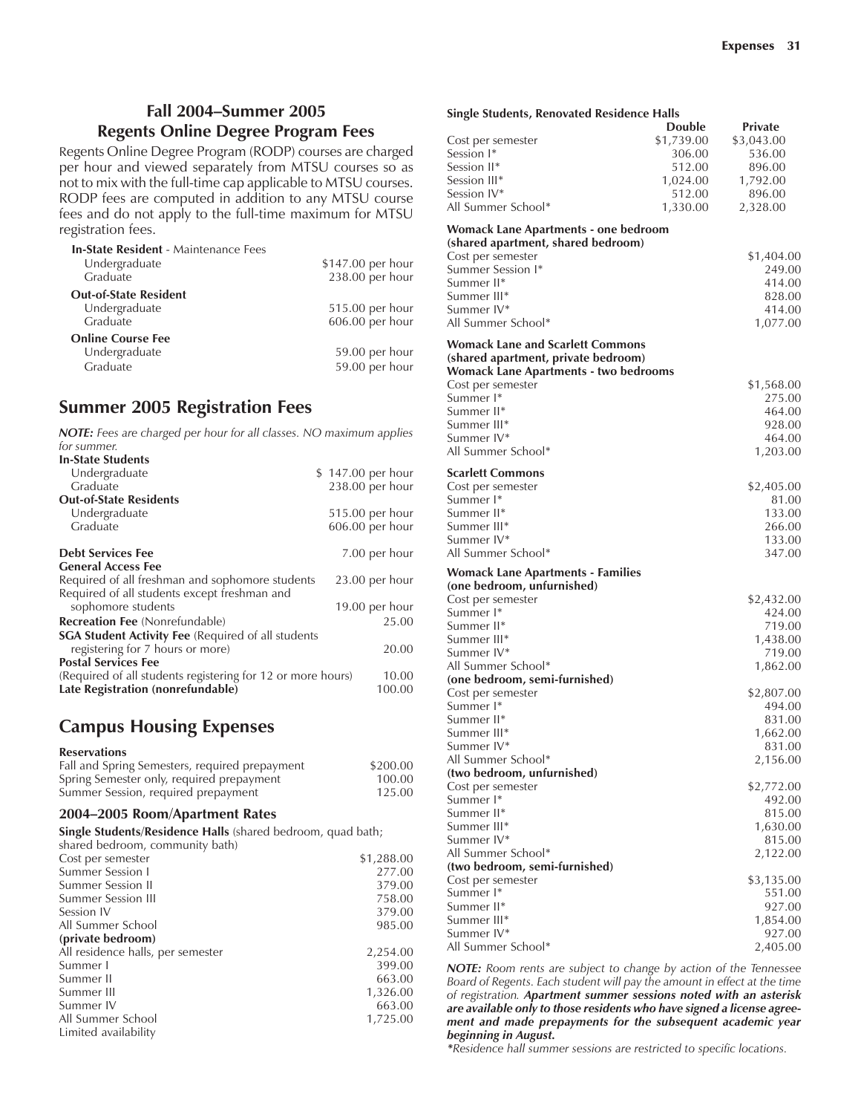#### **Fall 2004–Summer 2005 Regents Online Degree Program Fees**

Regents Online Degree Program (RODP) courses are charged per hour and viewed separately from MTSU courses so as not to mix with the full-time cap applicable to MTSU courses. RODP fees are computed in addition to any MTSU course fees and do not apply to the full-time maximum for MTSU registration fees.

| <b>In-State Resident - Maintenance Fees</b> |                   |
|---------------------------------------------|-------------------|
| Undergraduate                               | \$147.00 per hour |
| Graduate                                    | 238.00 per hour   |
| <b>Out-of-State Resident</b>                |                   |
| Undergraduate                               | 515.00 per hour   |
| Graduate                                    | 606.00 per hour   |
| <b>Online Course Fee</b>                    |                   |
| Undergraduate                               | 59.00 per hour    |
| Graduate                                    | 59.00 per hour    |
|                                             |                   |

## **Summer 2005 Registration Fees**

| <b>NOTE:</b> Fees are charged per hour for all classes. NO maximum applies<br>for summer. |                   |
|-------------------------------------------------------------------------------------------|-------------------|
| <b>In-State Students</b>                                                                  |                   |
|                                                                                           |                   |
| Undergraduate                                                                             | \$147.00 per hour |
| Graduate                                                                                  | 238.00 per hour   |
| <b>Out-of-State Residents</b>                                                             |                   |
| Undergraduate                                                                             | 515.00 per hour   |
| Graduate                                                                                  | $606.00$ per hour |
| <b>Debt Services Fee</b>                                                                  | 7.00 per hour     |
| <b>General Access Fee</b>                                                                 |                   |
| Required of all freshman and sophomore students                                           | $23.00$ per hour  |
| Required of all students except freshman and                                              |                   |
| sophomore students                                                                        | 19.00 per hour    |
| <b>Recreation Fee</b> (Nonrefundable)                                                     | 25.00             |
| <b>SGA Student Activity Fee (Required of all students</b>                                 |                   |
| registering for 7 hours or more)                                                          | 20.00             |
| <b>Postal Services Fee</b>                                                                |                   |
| (Required of all students registering for 12 or more hours)                               | 10.00             |
| Late Registration (nonrefundable)                                                         | 100.00            |

## **Campus Housing Expenses**

#### **Reservations**

| Fall and Spring Semesters, required prepayment | \$200.00 |
|------------------------------------------------|----------|
| Spring Semester only, required prepayment      | 100.00   |
| Summer Session, required prepayment            | 125.00   |

#### 2004-2005 Room/Apartment Rates

**Single Students/Residence Halls** (shared bedroom, quad bath;

| shared bedroom, community bath)   |            |
|-----------------------------------|------------|
| Cost per semester                 | \$1,288.00 |
| Summer Session I                  | 277.00     |
| Summer Session II                 | 379.00     |
| Summer Session III                | 758.00     |
| Session IV                        | 379.00     |
| All Summer School                 | 985.00     |
| (private bedroom)                 |            |
| All residence halls, per semester | 2,254.00   |
| Summer I                          | 399.00     |
| Summer II                         | 663.00     |
| Summer III                        | 1,326.00   |
| Summer IV                         | 663.00     |
| All Summer School                 | 1,725.00   |
| Limited availability              |            |

| <b>Single Students, Renovated Residence Halls</b> |               |                      |
|---------------------------------------------------|---------------|----------------------|
|                                                   | <b>Double</b> | <b>Private</b>       |
| Cost per semester                                 | \$1,739.00    | \$3,043.00           |
| Session I*                                        | 306.00        | 536.00               |
| Session II*                                       | 512.00        | 896.00               |
| Session III <sup>*</sup>                          | 1,024.00      | 1,792.00             |
| Session IV*                                       | 512.00        | 896.00               |
| All Summer School*                                | 1,330.00      | 2,328.00             |
| <b>Womack Lane Apartments - one bedroom</b>       |               |                      |
| (shared apartment, shared bedroom)                |               |                      |
| Cost per semester                                 |               | \$1,404.00           |
| Summer Session I*                                 |               | 249.00               |
| Summer II*                                        |               | 414.00               |
| Summer III*                                       |               | 828.00               |
| Summer IV*                                        |               | 414.00               |
| All Summer School*                                |               | 1,077.00             |
| Womack Lane and Scarlett Commons                  |               |                      |
| (shared apartment, private bedroom)               |               |                      |
| <b>Womack Lane Apartments - two bedrooms</b>      |               |                      |
| Cost per semester                                 |               | \$1,568.00           |
| Summer I*                                         |               | 275.00               |
| Summer II*                                        |               | 464.00               |
| Summer III*                                       |               | 928.00               |
| Summer IV*                                        |               | 464.00               |
| All Summer School*                                |               | 1,203.00             |
| <b>Scarlett Commons</b>                           |               |                      |
| Cost per semester                                 |               | \$2,405.00           |
| Summer <sup>1*</sup>                              |               | 81.00                |
| Summer II*                                        |               | 133.00               |
| Summer III*                                       |               | 266.00               |
| Summer IV*                                        |               | 133.00               |
| All Summer School*                                |               | 347.00               |
| <b>Womack Lane Apartments - Families</b>          |               |                      |
| (one bedroom, unfurnished)                        |               |                      |
| Cost per semester<br>Summer <sup>1*</sup>         |               | \$2,432.00<br>424.00 |
| Summer II*                                        |               | 719.00               |
| Summer III*                                       |               | 1,438.00             |
| Summer IV*                                        |               | 719.00               |
| All Summer School*                                |               | 1,862.00             |
| (one bedroom, semi-furnished)                     |               |                      |
| Cost per semester                                 |               | \$2,807.00           |
| Summer I*                                         |               | 494.00               |
| Summer II*                                        |               | 831.00               |
| Summer III*                                       |               | 1,662.00             |
| Summer IV*                                        |               | 831.00               |
| All Summer School*                                |               | 2,156.00             |
| (two bedroom, unfurnished)                        |               |                      |
| Cost per semester                                 |               | \$2,772.00           |
| Summer I*                                         |               | 492.00               |
| Summer II*                                        |               | 815.00               |
| Summer III*                                       |               | 1,630.00             |
| Summer IV*                                        |               | 815.00               |
| All Summer School*                                |               | 2,122.00             |
| (two bedroom, semi-furnished)                     |               |                      |
| Cost per semester                                 |               | \$3,135.00           |
| Summer I*                                         |               | 551.00               |
| Summer II*                                        |               | 927.00               |
| Summer III*                                       |               | 1,854.00             |
| Summer IV*                                        |               | 927.00               |
| All Summer School*                                |               | 2,405.00             |

*NOTE: Room rents are subject to change by action of the Tennessee Board of Regents. Each student will pay the amount in effect at the time of registration. Apartment summer sessions noted with an asterisk are available only to those residents who have signed a license agreement and made prepayments for the subsequent academic year beginning in August.*

*\*Residence hall summer sessions are restricted to specific locations.*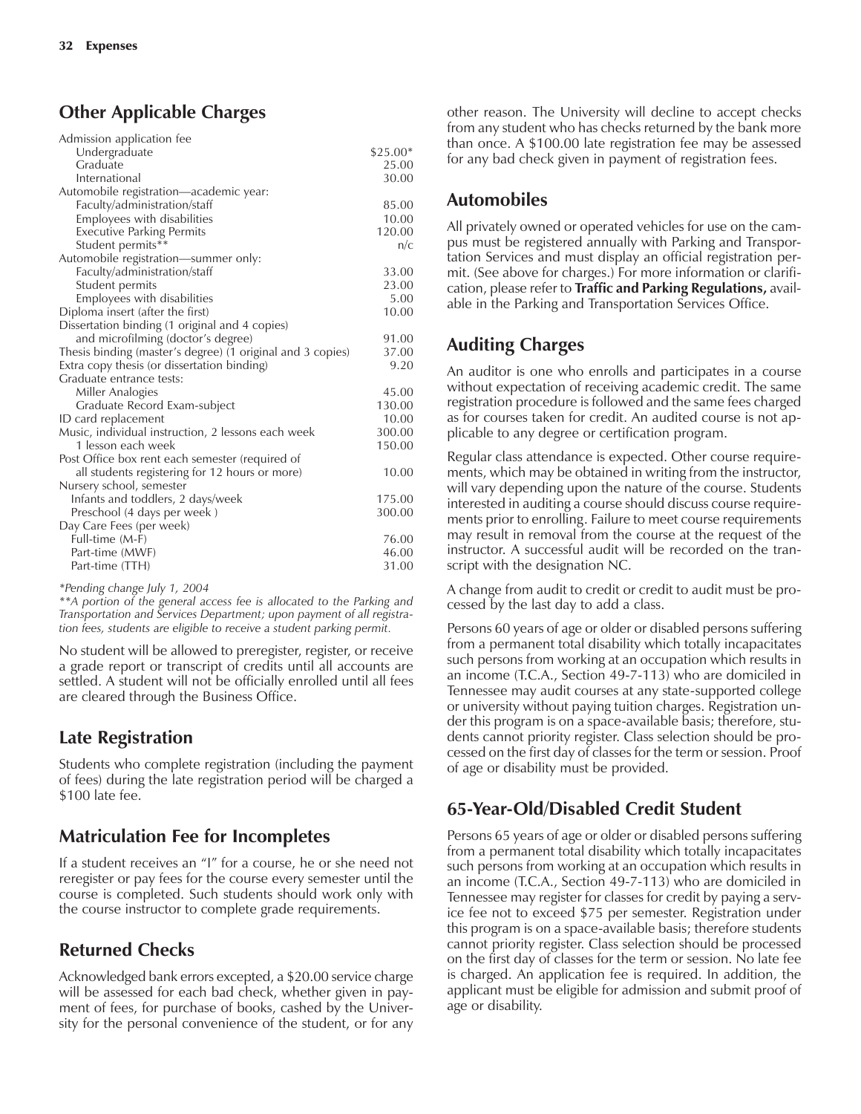## **Other Applicable Charges**

| Admission application fee                                  |           |
|------------------------------------------------------------|-----------|
| Undergraduate                                              | $$25.00*$ |
| Graduate                                                   | 25.00     |
| International                                              | 30.00     |
| Automobile registration-academic year:                     |           |
| Faculty/administration/staff                               | 85.00     |
| Employees with disabilities                                | 10.00     |
| <b>Executive Parking Permits</b>                           | 120.00    |
| Student permits**                                          | n/c       |
| Automobile registration—summer only:                       |           |
| Faculty/administration/staff                               | 33.00     |
| Student permits                                            | 23.00     |
| Employees with disabilities                                | 5.00      |
| Diploma insert (after the first)                           | 10.00     |
| Dissertation binding (1 original and 4 copies)             |           |
| and microfilming (doctor's degree)                         | 91.00     |
| Thesis binding (master's degree) (1 original and 3 copies) | 37.00     |
| Extra copy thesis (or dissertation binding)                | 9.20      |
| Graduate entrance tests:                                   |           |
| Miller Analogies                                           | 45.00     |
| Graduate Record Exam-subject                               | 130.00    |
| ID card replacement                                        | 10.00     |
| Music, individual instruction, 2 lessons each week         | 300.00    |
| 1 lesson each week                                         | 150.00    |
| Post Office box rent each semester (required of            |           |
| all students registering for 12 hours or more)             | 10.00     |
| Nursery school, semester                                   |           |
| Infants and toddlers, 2 days/week                          | 175.00    |
| Preschool (4 days per week)                                | 300.00    |
| Day Care Fees (per week)                                   |           |
| Full-time (M-F)                                            | 76.00     |
| Part-time (MWF)                                            | 46.00     |
| Part-time (TTH)                                            | 31.00     |
|                                                            |           |

*\*Pending change July 1, 2004*

*\*\*A portion of the general access fee is allocated to the Parking and Transportation and Services Department; upon payment of all registration fees, students are eligible to receive a student parking permit.*

No student will be allowed to preregister, register, or receive a grade report or transcript of credits until all accounts are settled. A student will not be officially enrolled until all fees are cleared through the Business Office.

## **Late Registration**

Students who complete registration (including the payment of fees) during the late registration period will be charged a \$100 late fee.

#### **Matriculation Fee for Incompletes**

If a student receives an "I" for a course, he or she need not reregister or pay fees for the course every semester until the course is completed. Such students should work only with the course instructor to complete grade requirements.

## **Returned Checks**

Acknowledged bank errors excepted, a \$20.00 service charge will be assessed for each bad check, whether given in payment of fees, for purchase of books, cashed by the University for the personal convenience of the student, or for any other reason. The University will decline to accept checks from any student who has checks returned by the bank more than once. A \$100.00 late registration fee may be assessed for any bad check given in payment of registration fees.

#### **Automobiles**

All privately owned or operated vehicles for use on the campus must be registered annually with Parking and Transportation Services and must display an official registration permit. (See above for charges.) For more information or clarification, please refer to **Traffic and Parking Regulations,** available in the Parking and Transportation Services Office.

#### **Auditing Charges**

An auditor is one who enrolls and participates in a course without expectation of receiving academic credit. The same registration procedure is followed and the same fees charged as for courses taken for credit. An audited course is not applicable to any degree or certification program.

Regular class attendance is expected. Other course requirements, which may be obtained in writing from the instructor, will vary depending upon the nature of the course. Students interested in auditing a course should discuss course requirements prior to enrolling. Failure to meet course requirements may result in removal from the course at the request of the instructor. A successful audit will be recorded on the transcript with the designation NC.

A change from audit to credit or credit to audit must be processed by the last day to add a class.

Persons 60 years of age or older or disabled persons suffering from a permanent total disability which totally incapacitates such persons from working at an occupation which results in an income (T.C.A., Section 49-7-113) who are domiciled in Tennessee may audit courses at any state-supported college or university without paying tuition charges. Registration under this program is on a space-available basis; therefore, students cannot priority register. Class selection should be processed on the first day of classes for the term or session. Proof of age or disability must be provided.

## **65-Year-Old/Disabled Credit Student**

Persons 65 years of age or older or disabled persons suffering from a permanent total disability which totally incapacitates such persons from working at an occupation which results in an income (T.C.A., Section 49-7-113) who are domiciled in Tennessee may register for classes for credit by paying a service fee not to exceed \$75 per semester. Registration under this program is on a space-available basis; therefore students cannot priority register. Class selection should be processed on the first day of classes for the term or session. No late fee is charged. An application fee is required. In addition, the applicant must be eligible for admission and submit proof of age or disability.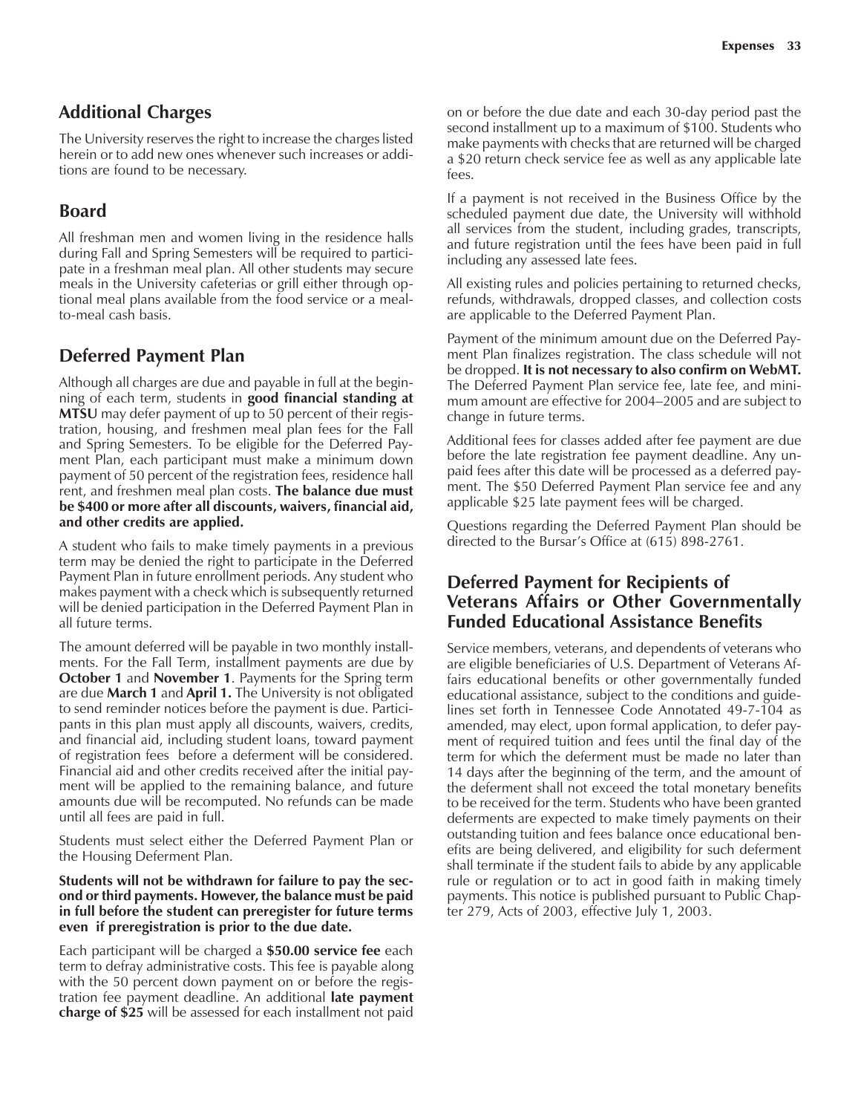#### **Additional Charges**

The University reserves the right to increase the charges listed herein or to add new ones whenever such increases or additions are found to be necessary.

## **Board**

All freshman men and women living in the residence halls during Fall and Spring Semesters will be required to participate in a freshman meal plan. All other students may secure meals in the University cafeterias or grill either through optional meal plans available from the food service or a mealto-meal cash basis.

#### **Deferred Payment Plan**

Although all charges are due and payable in full at the beginning of each term, students in **good financial standing at MTSU** may defer payment of up to 50 percent of their registration, housing, and freshmen meal plan fees for the Fall and Spring Semesters. To be eligible for the Deferred Payment Plan, each participant must make a minimum down payment of 50 percent of the registration fees, residence hall rent, and freshmen meal plan costs. **The balance due must be \$400 or more after all discounts, waivers, financial aid, and other credits are applied.**

A student who fails to make timely payments in a previous term may be denied the right to participate in the Deferred Payment Plan in future enrollment periods. Any student who makes payment with a check which is subsequently returned will be denied participation in the Deferred Payment Plan in all future terms.

The amount deferred will be payable in two monthly installments. For the Fall Term, installment payments are due by **October 1** and **November 1**. Payments for the Spring term are due **March 1** and **April 1.** The University is not obligated to send reminder notices before the payment is due. Participants in this plan must apply all discounts, waivers, credits, and financial aid, including student loans, toward payment of registration fees before a deferment will be considered. Financial aid and other credits received after the initial payment will be applied to the remaining balance, and future amounts due will be recomputed. No refunds can be made until all fees are paid in full.

Students must select either the Deferred Payment Plan or the Housing Deferment Plan.

#### **Students will not be withdrawn for failure to pay the second or third payments. However, the balance must be paid in full before the student can preregister for future terms even if preregistration is prior to the due date.**

Each participant will be charged a **\$50.00 service fee** each term to defray administrative costs. This fee is payable along with the 50 percent down payment on or before the registration fee payment deadline. An additional **late payment charge of \$25** will be assessed for each installment not paid

on or before the due date and each 30-day period past the second installment up to a maximum of \$100. Students who make payments with checks that are returned will be charged a \$20 return check service fee as well as any applicable late fees.

If a payment is not received in the Business Office by the scheduled payment due date, the University will withhold all services from the student, including grades, transcripts, and future registration until the fees have been paid in full including any assessed late fees.

All existing rules and policies pertaining to returned checks, refunds, withdrawals, dropped classes, and collection costs are applicable to the Deferred Payment Plan.

Payment of the minimum amount due on the Deferred Payment Plan finalizes registration. The class schedule will not be dropped. **It is not necessary to also confirm on WebMT.** The Deferred Payment Plan service fee, late fee, and minimum amount are effective for 2004–2005 and are subject to change in future terms.

Additional fees for classes added after fee payment are due before the late registration fee payment deadline. Any unpaid fees after this date will be processed as a deferred payment. The \$50 Deferred Payment Plan service fee and any applicable \$25 late payment fees will be charged.

Questions regarding the Deferred Payment Plan should be directed to the Bursar's Office at (615) 898-2761.

#### **Deferred Payment for Recipients of Veterans Affairs or Other Governmentally Funded Educational Assistance Benefits**

Service members, veterans, and dependents of veterans who are eligible beneficiaries of U.S. Department of Veterans Affairs educational benefits or other governmentally funded educational assistance, subject to the conditions and guidelines set forth in Tennessee Code Annotated 49-7-104 as amended, may elect, upon formal application, to defer payment of required tuition and fees until the final day of the term for which the deferment must be made no later than 14 days after the beginning of the term, and the amount of the deferment shall not exceed the total monetary benefits to be received for the term. Students who have been granted deferments are expected to make timely payments on their outstanding tuition and fees balance once educational benefits are being delivered, and eligibility for such deferment shall terminate if the student fails to abide by any applicable rule or regulation or to act in good faith in making timely payments. This notice is published pursuant to Public Chapter 279, Acts of 2003, effective July 1, 2003.